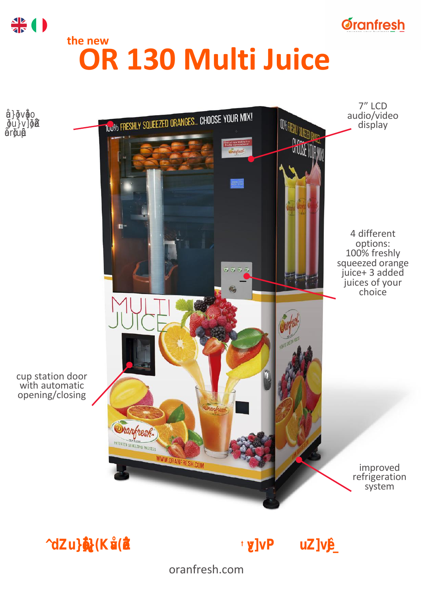# the new OR 130 Multi Juice



## The most creative of Oranfresh *\** vending machines "

oranfresh.com